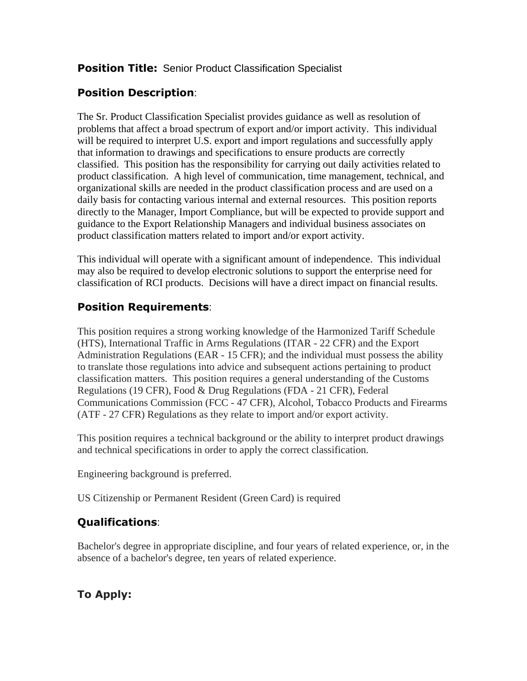#### **Position Title:** Senior Product Classification Specialist

## **Position Description**:

The Sr. Product Classification Specialist provides guidance as well as resolution of problems that affect a broad spectrum of export and/or import activity. This individual will be required to interpret U.S. export and import regulations and successfully apply that information to drawings and specifications to ensure products are correctly classified. This position has the responsibility for carrying out daily activities related to product classification. A high level of communication, time management, technical, and organizational skills are needed in the product classification process and are used on a daily basis for contacting various internal and external resources. This position reports directly to the Manager, Import Compliance, but will be expected to provide support and guidance to the Export Relationship Managers and individual business associates on product classification matters related to import and/or export activity.

This individual will operate with a significant amount of independence. This individual may also be required to develop electronic solutions to support the enterprise need for classification of RCI products. Decisions will have a direct impact on financial results.

### **Position Requirements**:

This position requires a strong working knowledge of the Harmonized Tariff Schedule (HTS), International Traffic in Arms Regulations (ITAR - 22 CFR) and the Export Administration Regulations (EAR - 15 CFR); and the individual must possess the ability to translate those regulations into advice and subsequent actions pertaining to product classification matters. This position requires a general understanding of the Customs Regulations (19 CFR), Food & Drug Regulations (FDA - 21 CFR), Federal Communications Commission (FCC - 47 CFR), Alcohol, Tobacco Products and Firearms (ATF - 27 CFR) Regulations as they relate to import and/or export activity.

This position requires a technical background or the ability to interpret product drawings and technical specifications in order to apply the correct classification.

Engineering background is preferred.

US Citizenship or Permanent Resident (Green Card) is required

# **Qualifications**:

Bachelor's degree in appropriate discipline, and four years of related experience, or, in the absence of a bachelor's degree, ten years of related experience.

# **To Apply:**